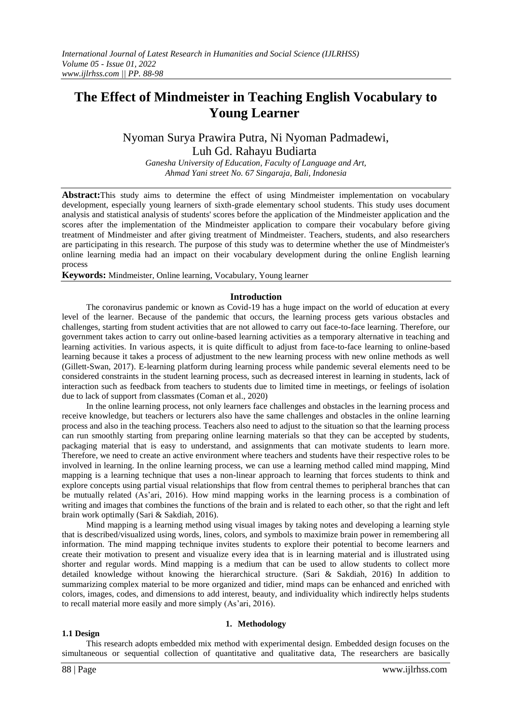# **The Effect of Mindmeister in Teaching English Vocabulary to Young Learner**

Nyoman Surya Prawira Putra, Ni Nyoman Padmadewi, Luh Gd. Rahayu Budiarta

*Ganesha University of Education, Faculty of Language and Art, Ahmad Yani street No. 67 Singaraja, Bali, Indonesia*

**Abstract:**This study aims to determine the effect of using Mindmeister implementation on vocabulary development, especially young learners of sixth-grade elementary school students. This study uses document analysis and statistical analysis of students' scores before the application of the Mindmeister application and the scores after the implementation of the Mindmeister application to compare their vocabulary before giving treatment of Mindmeister and after giving treatment of Mindmeister. Teachers, students, and also researchers are participating in this research. The purpose of this study was to determine whether the use of Mindmeister's online learning media had an impact on their vocabulary development during the online English learning process

**Keywords:** Mindmeister, Online learning, Vocabulary, Young learner

# **Introduction**

The coronavirus pandemic or known as Covid-19 has a huge impact on the world of education at every level of the learner. Because of the pandemic that occurs, the learning process gets various obstacles and challenges, starting from student activities that are not allowed to carry out face-to-face learning. Therefore, our government takes action to carry out online-based learning activities as a temporary alternative in teaching and learning activities. In various aspects, it is quite difficult to adjust from face-to-face learning to online-based learning because it takes a process of adjustment to the new learning process with new online methods as well (Gillett-Swan, 2017). E-learning platform during learning process while pandemic several elements need to be considered constraints in the student learning process, such as decreased interest in learning in students, lack of interaction such as feedback from teachers to students due to limited time in meetings, or feelings of isolation due to lack of support from classmates (Coman et al., 2020)

In the online learning process, not only learners face challenges and obstacles in the learning process and receive knowledge, but teachers or lecturers also have the same challenges and obstacles in the online learning process and also in the teaching process. Teachers also need to adjust to the situation so that the learning process can run smoothly starting from preparing online learning materials so that they can be accepted by students, packaging material that is easy to understand, and assignments that can motivate students to learn more. Therefore, we need to create an active environment where teachers and students have their respective roles to be involved in learning. In the online learning process, we can use a learning method called mind mapping, Mind mapping is a learning technique that uses a non-linear approach to learning that forces students to think and explore concepts using partial visual relationships that flow from central themes to peripheral branches that can be mutually related (As'ari, 2016). How mind mapping works in the learning process is a combination of writing and images that combines the functions of the brain and is related to each other, so that the right and left brain work optimally (Sari & Sakdiah, 2016).

Mind mapping is a learning method using visual images by taking notes and developing a learning style that is described/visualized using words, lines, colors, and symbols to maximize brain power in remembering all information. The mind mapping technique invites students to explore their potential to become learners and create their motivation to present and visualize every idea that is in learning material and is illustrated using shorter and regular words. Mind mapping is a medium that can be used to allow students to collect more detailed knowledge without knowing the hierarchical structure. (Sari & Sakdiah, 2016) In addition to summarizing complex material to be more organized and tidier, mind maps can be enhanced and enriched with colors, images, codes, and dimensions to add interest, beauty, and individuality which indirectly helps students to recall material more easily and more simply (As'ari, 2016).

# **1.1 Design**

### **1. Methodology**

This research adopts embedded mix method with experimental design. Embedded design focuses on the simultaneous or sequential collection of quantitative and qualitative data, The researchers are basically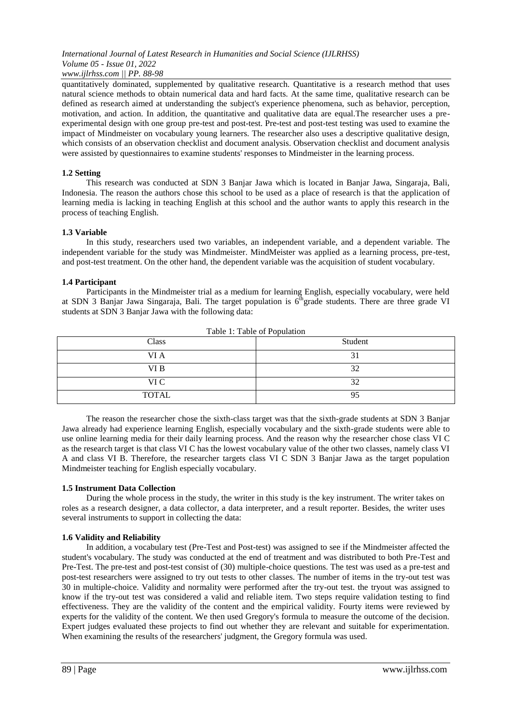quantitatively dominated, supplemented by qualitative research. Quantitative is a research method that uses natural science methods to obtain numerical data and hard facts. At the same time, qualitative research can be defined as research aimed at understanding the subject's experience phenomena, such as behavior, perception, motivation, and action. In addition, the quantitative and qualitative data are equal.The researcher uses a preexperimental design with one group pre-test and post-test. Pre-test and post-test testing was used to examine the impact of Mindmeister on vocabulary young learners. The researcher also uses a descriptive qualitative design, which consists of an observation checklist and document analysis. Observation checklist and document analysis were assisted by questionnaires to examine students' responses to Mindmeister in the learning process.

# **1.2 Setting**

This research was conducted at SDN 3 Banjar Jawa which is located in Banjar Jawa, Singaraja, Bali, Indonesia. The reason the authors chose this school to be used as a place of research is that the application of learning media is lacking in teaching English at this school and the author wants to apply this research in the process of teaching English.

# **1.3 Variable**

In this study, researchers used two variables, an independent variable, and a dependent variable. The independent variable for the study was Mindmeister. MindMeister was applied as a learning process, pre-test, and post-test treatment. On the other hand, the dependent variable was the acquisition of student vocabulary.

# **1.4 Participant**

Participants in the Mindmeister trial as a medium for learning English, especially vocabulary, were held at SDN 3 Banjar Jawa Singaraja, Bali. The target population is  $6^{th}$ grade students. There are three grade VI students at SDN 3 Banjar Jawa with the following data:

| ruote 1. ruote of 1 opulation |         |  |
|-------------------------------|---------|--|
| Class                         | Student |  |
| VI A                          | ◡       |  |
| VI B                          | 32      |  |
| VI C                          | 32      |  |
| <b>TOTAL</b>                  | 95      |  |

Table 1: Table of Population

The reason the researcher chose the sixth-class target was that the sixth-grade students at SDN 3 Banjar Jawa already had experience learning English, especially vocabulary and the sixth-grade students were able to use online learning media for their daily learning process. And the reason why the researcher chose class VI C as the research target is that class VI C has the lowest vocabulary value of the other two classes, namely class VI A and class VI B. Therefore, the researcher targets class VI C SDN 3 Banjar Jawa as the target population Mindmeister teaching for English especially vocabulary.

# **1.5 Instrument Data Collection**

During the whole process in the study, the writer in this study is the key instrument. The writer takes on roles as a research designer, a data collector, a data interpreter, and a result reporter. Besides, the writer uses several instruments to support in collecting the data:

# **1.6 Validity and Reliability**

In addition, a vocabulary test (Pre-Test and Post-test) was assigned to see if the Mindmeister affected the student's vocabulary. The study was conducted at the end of treatment and was distributed to both Pre-Test and Pre-Test. The pre-test and post-test consist of (30) multiple-choice questions. The test was used as a pre-test and post-test researchers were assigned to try out tests to other classes. The number of items in the try-out test was 30 in multiple-choice. Validity and normality were performed after the try-out test. the tryout was assigned to know if the try-out test was considered a valid and reliable item. Two steps require validation testing to find effectiveness. They are the validity of the content and the empirical validity. Fourty items were reviewed by experts for the validity of the content. We then used Gregory's formula to measure the outcome of the decision. Expert judges evaluated these projects to find out whether they are relevant and suitable for experimentation. When examining the results of the researchers' judgment, the Gregory formula was used.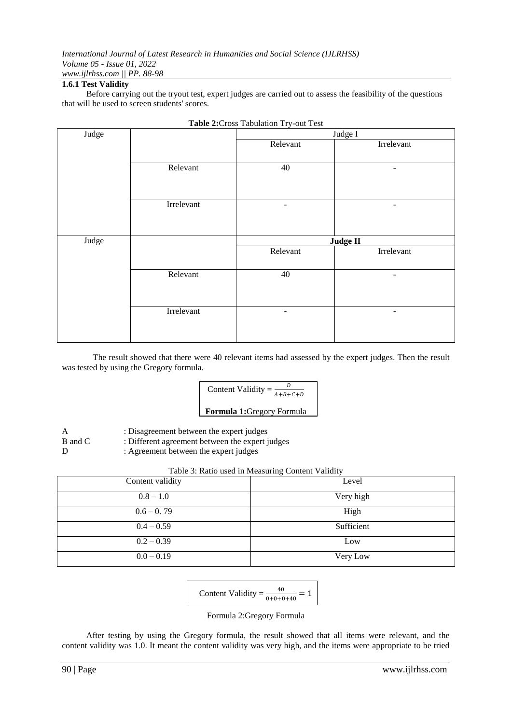# **1.6.1 Test Validity**

Before carrying out the tryout test, expert judges are carried out to assess the feasibility of the questions that will be used to screen students' scores.

| Judge |            | Judge I  |                   |
|-------|------------|----------|-------------------|
|       |            | Relevant | Irrelevant        |
|       |            |          |                   |
|       | Relevant   | $40\,$   |                   |
|       |            |          |                   |
|       |            |          |                   |
|       | Irrelevant | ٠        | $\qquad \qquad -$ |
|       |            |          |                   |
|       |            |          |                   |
|       |            |          |                   |
| Judge |            |          | Judge II          |
|       |            | Relevant | Irrelevant        |
|       |            |          |                   |
|       | Relevant   | 40       |                   |
|       |            |          |                   |
|       |            |          |                   |
|       | Irrelevant | ۰        |                   |
|       |            |          |                   |



The result showed that there were 40 relevant items had assessed by the expert judges. Then the result was tested by using the Gregory formula.



- A : Disagreement between the expert judges
- B and C : Different agreement between the expert judges
- D : Agreement between the expert judges

| Content validity | Level      |
|------------------|------------|
| $0.8 - 1.0$      | Very high  |
| $0.6 - 0.79$     | High       |
| $0.4 - 0.59$     | Sufficient |
| $0.2 - 0.39$     | Low        |
| $0.0 - 0.19$     | Very Low   |

$$
Content Validity = \frac{40}{0+0+0+40} = 1
$$

Formula 2:Gregory Formula

After testing by using the Gregory formula, the result showed that all items were relevant, and the content validity was 1.0. It meant the content validity was very high, and the items were appropriate to be tried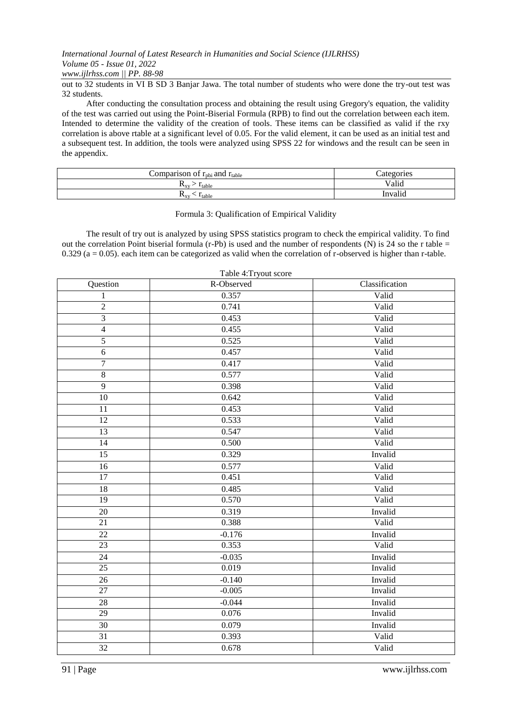*www.ijlrhss.com || PP. 88-98*

out to 32 students in VI B SD 3 Banjar Jawa. The total number of students who were done the try-out test was 32 students.

After conducting the consultation process and obtaining the result using Gregory's equation, the validity of the test was carried out using the Point-Biserial Formula (RPB) to find out the correlation between each item. Intended to determine the validity of the creation of tools. These items can be classified as valid if the rxy correlation is above rtable at a significant level of 0.05. For the valid element, it can be used as an initial test and a subsequent test. In addition, the tools were analyzed using SPSS 22 for windows and the result can be seen in the appendix.

| Comparison of $r_{\text{pbi}}$ and $r_{\text{table}}$ | Categories |
|-------------------------------------------------------|------------|
| <sup>1</sup> table<br>$\mathbf{I} \mathbf{v}$         | Valid      |
| $\sim$ I table<br>$\mathbf{v}_{\rm xv}$               | Invalid    |

### Formula 3: Qualification of Empirical Validity

The result of try out is analyzed by using SPSS statistics program to check the empirical validity. To find out the correlation Point biserial formula (r-Pb) is used and the number of respondents (N) is 24 so the r table  $=$ 0.329 ( $a = 0.05$ ). each item can be categorized as valid when the correlation of r-observed is higher than r-table.

| Question        | R-Observed | Classification |
|-----------------|------------|----------------|
| $\mathbf{1}$    | 0.357      | Valid          |
| $\overline{2}$  | 0.741      | Valid          |
| $\overline{3}$  | 0.453      | Valid          |
| $\overline{4}$  | 0.455      | Valid          |
| $\overline{5}$  | 0.525      | Valid          |
| $\sqrt{6}$      | 0.457      | Valid          |
| $\overline{7}$  | 0.417      | Valid          |
| $\overline{8}$  | 0.577      | Valid          |
| $\overline{9}$  | 0.398      | Valid          |
| 10              | 0.642      | Valid          |
| $\overline{11}$ | 0.453      | Valid          |
| $\overline{12}$ | 0.533      | Valid          |
| 13              | 0.547      | Valid          |
| 14              | 0.500      | Valid          |
| 15              | 0.329      | Invalid        |
| $\overline{16}$ | 0.577      | Valid          |
| 17              | 0.451      | Valid          |
| 18              | 0.485      | Valid          |
| 19              | 0.570      | Valid          |
| 20              | 0.319      | Invalid        |
| $\overline{21}$ | 0.388      | Valid          |
| 22              | $-0.176$   | Invalid        |
| 23              | 0.353      | Valid          |
| 24              | $-0.035$   | Invalid        |
| $\overline{25}$ | 0.019      | Invalid        |
| 26              | $-0.140$   | Invalid        |
| 27              | $-0.005$   | Invalid        |
| 28              | $-0.044$   | Invalid        |
| 29              | 0.076      | Invalid        |
| $\overline{30}$ | 0.079      | Invalid        |
| $\overline{31}$ | 0.393      | Valid          |
| $\overline{32}$ | 0.678      | Valid          |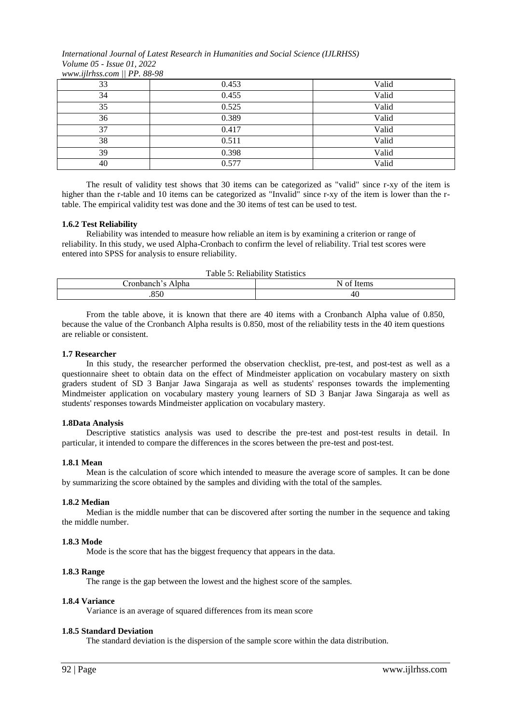*International Journal of Latest Research in Humanities and Social Science (IJLRHSS) Volume 05 - Issue 01, 2022 www.ijlrhss.com || PP. 88-98*

| .<br>$\mathbf{11}$ | .     |       |
|--------------------|-------|-------|
| 33                 | 0.453 | Valid |
| 34                 | 0.455 | Valid |
| 35                 | 0.525 | Valid |
| 36                 | 0.389 | Valid |
| 37                 | 0.417 | Valid |
| 38                 | 0.511 | Valid |
| 39                 | 0.398 | Valid |
| 40                 | 0.577 | Valid |

The result of validity test shows that 30 items can be categorized as "valid" since r-xy of the item is higher than the r-table and 10 items can be categorized as "Invalid" since r-xy of the item is lower than the rtable. The empirical validity test was done and the 30 items of test can be used to test.

# **1.6.2 Test Reliability**

Reliability was intended to measure how reliable an item is by examining a criterion or range of reliability. In this study, we used Alpha-Cronbach to confirm the level of reliability. Trial test scores were entered into SPSS for analysis to ensure reliability.

| Table 5: Reliability Statistics |  |  |
|---------------------------------|--|--|
| N of Items<br>Cronbanch's Alpha |  |  |
| .850<br>-46                     |  |  |

From the table above, it is known that there are 40 items with a Cronbanch Alpha value of 0.850, because the value of the Cronbanch Alpha results is 0.850, most of the reliability tests in the 40 item questions are reliable or consistent.

# **1.7 Researcher**

In this study, the researcher performed the observation checklist, pre-test, and post-test as well as a questionnaire sheet to obtain data on the effect of Mindmeister application on vocabulary mastery on sixth graders student of SD 3 Banjar Jawa Singaraja as well as students' responses towards the implementing Mindmeister application on vocabulary mastery young learners of SD 3 Banjar Jawa Singaraja as well as students' responses towards Mindmeister application on vocabulary mastery.

# **1.8Data Analysis**

Descriptive statistics analysis was used to describe the pre-test and post-test results in detail. In particular, it intended to compare the differences in the scores between the pre-test and post-test.

# **1.8.1 Mean**

Mean is the calculation of score which intended to measure the average score of samples. It can be done by summarizing the score obtained by the samples and dividing with the total of the samples.

# **1.8.2 Median**

Median is the middle number that can be discovered after sorting the number in the sequence and taking the middle number.

# **1.8.3 Mode**

Mode is the score that has the biggest frequency that appears in the data.

# **1.8.3 Range**

The range is the gap between the lowest and the highest score of the samples.

# **1.8.4 Variance**

Variance is an average of squared differences from its mean score

# **1.8.5 Standard Deviation**

The standard deviation is the dispersion of the sample score within the data distribution.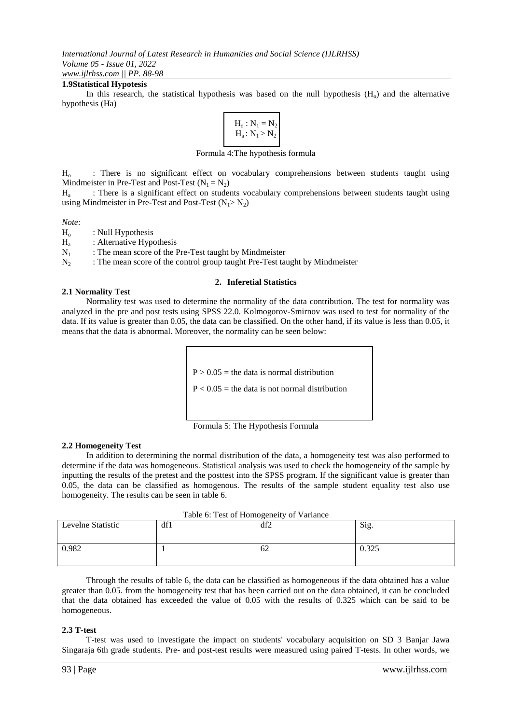# **1.9Statistical Hypotesis**

In this research, the statistical hypothesis was based on the null hypothesis  $(H_0)$  and the alternative hypothesis (Ha)

$$
\left.\begin{array}{l}H_o:N_1=N_2\\H_a:N_1>N_2\end{array}\right|
$$

Formula 4:The hypothesis formula

H<sup>o</sup> : There is no significant effect on vocabulary comprehensions between students taught using Mindmeister in Pre-Test and Post-Test  $(N_1 = N_2)$ 

 $H_{a}$ : There is a significant effect on students vocabulary comprehensions between students taught using using Mindmeister in Pre-Test and Post-Test  $(N_1 > N_2)$ 

*Note:*

 $H<sub>o</sub>$  : Null Hypothesis

 $\frac{H_a}{N_1}$ : Alternative Hypothesis

: The mean score of the Pre-Test taught by Mindmeister

 $N_2$  : The mean score of the control group taught Pre-Test taught by Mindmeister

### **2. Inferetial Statistics**

# **2.1 Normality Test**

Normality test was used to determine the normality of the data contribution. The test for normality was analyzed in the pre and post tests using SPSS 22.0. Kolmogorov-Smirnov was used to test for normality of the data. If its value is greater than 0.05, the data can be classified. On the other hand, if its value is less than 0.05, it means that the data is abnormal. Moreover, the normality can be seen below:

 $P > 0.05$  = the data is normal distribution

 $P < 0.05$  = the data is not normal distribution



# **2.2 Homogeneity Test**

In addition to determining the normal distribution of the data, a homogeneity test was also performed to determine if the data was homogeneous. Statistical analysis was used to check the homogeneity of the sample by inputting the results of the pretest and the posttest into the SPSS program. If the significant value is greater than 0.05, the data can be classified as homogenous. The results of the sample student equality test also use homogeneity. The results can be seen in table 6.

| Table 6: Test of Homogeneity of Variance |     |     |       |  |
|------------------------------------------|-----|-----|-------|--|
| Levelne Statistic                        | df1 | df2 | Sig.  |  |
|                                          |     |     |       |  |
|                                          |     |     |       |  |
| 0.982                                    |     | -62 | 0.325 |  |
|                                          |     |     |       |  |
|                                          |     |     |       |  |

Through the results of table 6, the data can be classified as homogeneous if the data obtained has a value greater than 0.05. from the homogeneity test that has been carried out on the data obtained, it can be concluded that the data obtained has exceeded the value of 0.05 with the results of 0.325 which can be said to be homogeneous.

# **2.3 T-test**

T-test was used to investigate the impact on students' vocabulary acquisition on SD 3 Banjar Jawa Singaraja 6th grade students. Pre- and post-test results were measured using paired T-tests. In other words, we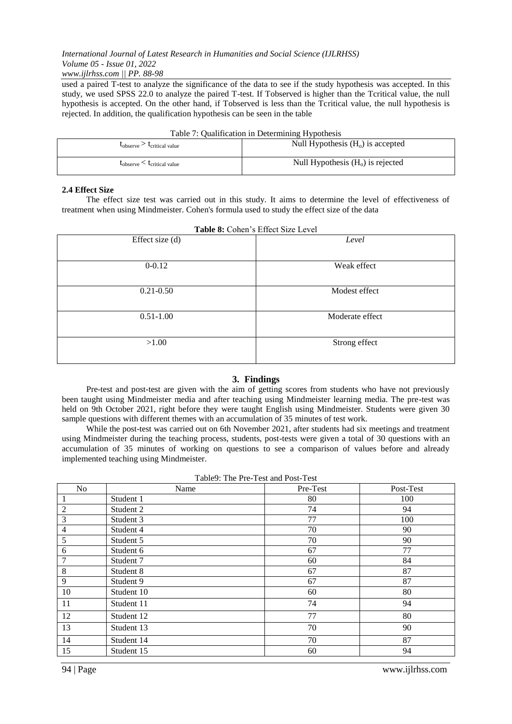# *International Journal of Latest Research in Humanities and Social Science (IJLRHSS) Volume 05 - Issue 01, 2022*

# *www.ijlrhss.com || PP. 88-98*

used a paired T-test to analyze the significance of the data to see if the study hypothesis was accepted. In this study, we used SPSS 22.0 to analyze the paired T-test. If Tobserved is higher than the Tcritical value, the null hypothesis is accepted. On the other hand, if Tobserved is less than the Tcritical value, the null hypothesis is rejected. In addition, the qualification hypothesis can be seen in the table

| Table 7: Qualification in Determining Hypothesis |  |  |
|--------------------------------------------------|--|--|
|                                                  |  |  |

| <b>L</b> critical value<br>$L_{\rm observed}$ | Null Hypothesis $(Ho)$ is accepted |
|-----------------------------------------------|------------------------------------|
| $t_{\rm observe} < t_{\rm critical\ value}$   | Null Hypothesis $(Ho)$ is rejected |

# **2.4 Effect Size**

The effect size test was carried out in this study. It aims to determine the level of effectiveness of treatment when using Mindmeister. Cohen's formula used to study the effect size of the data

| <b>Table 8:</b> Cohen's Effect Size Level |                 |  |
|-------------------------------------------|-----------------|--|
| Effect size (d)                           | Level           |  |
|                                           |                 |  |
| $0 - 0.12$                                | Weak effect     |  |
| $0.21 - 0.50$                             | Modest effect   |  |
| $0.51 - 1.00$                             | Moderate effect |  |
| >1.00                                     | Strong effect   |  |

### **Table 8:** Cohen's Effect Size Level

# **3. Findings**

Pre-test and post-test are given with the aim of getting scores from students who have not previously been taught using Mindmeister media and after teaching using Mindmeister learning media. The pre-test was held on 9th October 2021, right before they were taught English using Mindmeister. Students were given 30 sample questions with different themes with an accumulation of 35 minutes of test work.

While the post-test was carried out on 6th November 2021, after students had six meetings and treatment using Mindmeister during the teaching process, students, post-tests were given a total of 30 questions with an accumulation of 35 minutes of working on questions to see a comparison of values before and already implemented teaching using Mindmeister.

| No             | raone). The ric rest and rost rest<br>Name | Pre-Test | Post-Test |
|----------------|--------------------------------------------|----------|-----------|
| 1              | Student 1                                  | 80       | 100       |
| $\overline{2}$ | Student 2                                  | 74       | 94        |
| 3              | Student 3                                  | 77       | 100       |
| $\overline{4}$ | Student 4                                  | 70       | 90        |
| 5              | Student 5                                  | 70       | 90        |
| 6              | Student 6                                  | 67       | 77        |
| $\tau$         | Student 7                                  | 60       | 84        |
| $\,8\,$        | Student 8                                  | 67       | 87        |
| 9              | Student 9                                  | 67       | 87        |
| 10             | Student 10                                 | 60       | 80        |
| 11             | Student 11                                 | 74       | 94        |
| 12             | Student 12                                 | 77       | 80        |
| 13             | Student 13                                 | 70       | 90        |
| 14             | Student 14                                 | 70       | 87        |
| 15             | Student 15                                 | 60       | 94        |

Table9: The Pre-Test and Post-Test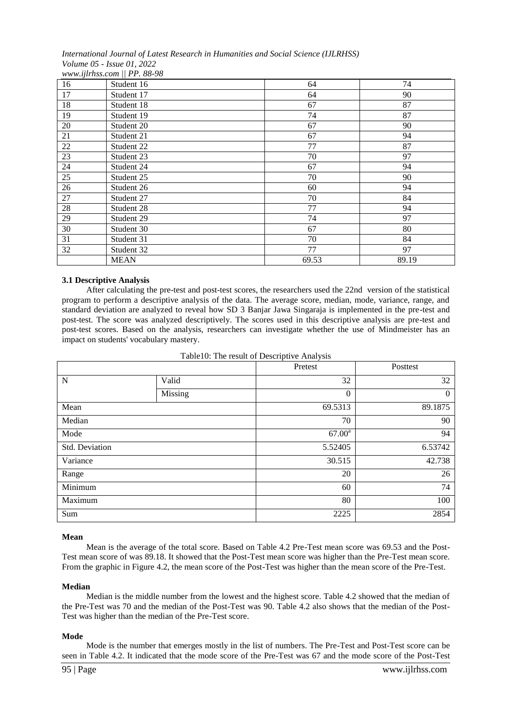#### *International Journal of Latest Research in Humanities and Social Science (IJLRHSS) Volume 05 - Issue 01, 2022 www.ijlrhss.com || PP. 88-98*

| 16 | Student 16  | 64    | 74    |
|----|-------------|-------|-------|
| 17 | Student 17  | 64    | 90    |
| 18 | Student 18  | 67    | 87    |
| 19 | Student 19  | 74    | 87    |
| 20 | Student 20  | 67    | 90    |
| 21 | Student 21  | 67    | 94    |
| 22 | Student 22  | 77    | 87    |
| 23 | Student 23  | 70    | 97    |
| 24 | Student 24  | 67    | 94    |
| 25 | Student 25  | 70    | 90    |
| 26 | Student 26  | 60    | 94    |
| 27 | Student 27  | 70    | 84    |
| 28 | Student 28  | 77    | 94    |
| 29 | Student 29  | 74    | 97    |
| 30 | Student 30  | 67    | 80    |
| 31 | Student 31  | 70    | 84    |
| 32 | Student 32  | 77    | 97    |
|    | <b>MEAN</b> | 69.53 | 89.19 |

# **3.1 Descriptive Analysis**

After calculating the pre-test and post-test scores, the researchers used the 22nd version of the statistical program to perform a descriptive analysis of the data. The average score, median, mode, variance, range, and standard deviation are analyzed to reveal how SD 3 Banjar Jawa Singaraja is implemented in the pre-test and post-test. The score was analyzed descriptively. The scores used in this descriptive analysis are pre-test and post-test scores. Based on the analysis, researchers can investigate whether the use of Mindmeister has an impact on students' vocabulary mastery.

| <b>TableTO.</b> The result of Descriptive Analysis |         |                 |          |  |  |
|----------------------------------------------------|---------|-----------------|----------|--|--|
|                                                    |         | Pretest         | Posttest |  |  |
| N                                                  | Valid   | 32              | 32       |  |  |
|                                                    | Missing | $\theta$        | $\Omega$ |  |  |
| Mean                                               |         | 69.5313         | 89.1875  |  |  |
| Median                                             |         | 70              | 90       |  |  |
| Mode                                               |         | $67.00^{\rm a}$ | 94       |  |  |
| Std. Deviation                                     |         | 5.52405         | 6.53742  |  |  |
| Variance                                           |         | 30.515          | 42.738   |  |  |
| Range                                              |         | 20              | 26       |  |  |
| Minimum                                            |         | 60              | 74       |  |  |
| Maximum                                            |         | 80              | 100      |  |  |
| Sum                                                |         | 2225            | 2854     |  |  |

# Table10: The result of Descriptive Analysis

#### **Mean**

Mean is the average of the total score. Based on Table 4.2 Pre-Test mean score was 69.53 and the Post-Test mean score of was 89.18. It showed that the Post-Test mean score was higher than the Pre-Test mean score. From the graphic in Figure 4.2, the mean score of the Post-Test was higher than the mean score of the Pre-Test.

# **Median**

Median is the middle number from the lowest and the highest score. Table 4.2 showed that the median of the Pre-Test was 70 and the median of the Post-Test was 90. Table 4.2 also shows that the median of the Post-Test was higher than the median of the Pre-Test score.

# **Mode**

Mode is the number that emerges mostly in the list of numbers. The Pre-Test and Post-Test score can be seen in Table 4.2. It indicated that the mode score of the Pre-Test was 67 and the mode score of the Post-Test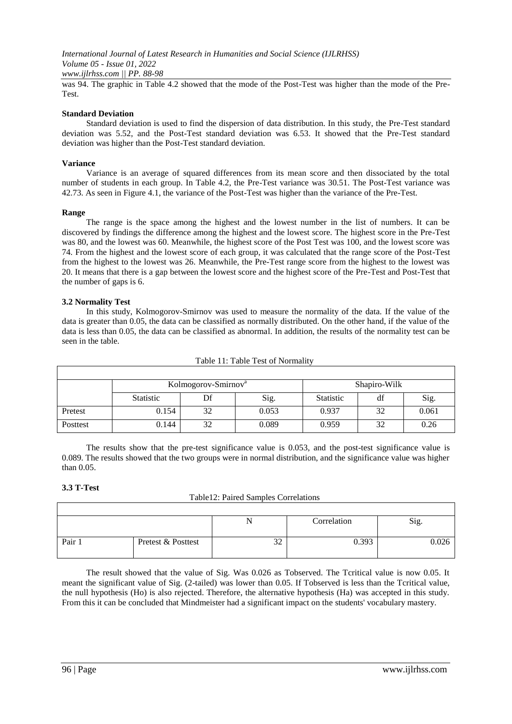*International Journal of Latest Research in Humanities and Social Science (IJLRHSS) Volume 05 - Issue 01, 2022 www.ijlrhss.com || PP. 88-98*

was 94. The graphic in Table 4.2 showed that the mode of the Post-Test was higher than the mode of the Pre-Test.

# **Standard Deviation**

Standard deviation is used to find the dispersion of data distribution. In this study, the Pre-Test standard deviation was 5.52, and the Post-Test standard deviation was 6.53. It showed that the Pre-Test standard deviation was higher than the Post-Test standard deviation.

# **Variance**

Variance is an average of squared differences from its mean score and then dissociated by the total number of students in each group. In Table 4.2, the Pre-Test variance was 30.51. The Post-Test variance was 42.73. As seen in Figure 4.1, the variance of the Post-Test was higher than the variance of the Pre-Test.

# **Range**

The range is the space among the highest and the lowest number in the list of numbers. It can be discovered by findings the difference among the highest and the lowest score. The highest score in the Pre-Test was 80, and the lowest was 60. Meanwhile, the highest score of the Post Test was 100, and the lowest score was 74. From the highest and the lowest score of each group, it was calculated that the range score of the Post-Test from the highest to the lowest was 26. Meanwhile, the Pre-Test range score from the highest to the lowest was 20. It means that there is a gap between the lowest score and the highest score of the Pre-Test and Post-Test that the number of gaps is 6.

# **3.2 Normality Test**

In this study, Kolmogorov-Smirnov was used to measure the normality of the data. If the value of the data is greater than 0.05, the data can be classified as normally distributed. On the other hand, if the value of the data is less than 0.05, the data can be classified as abnormal. In addition, the results of the normality test can be seen in the table.

|          | Kolmogorov-Smirnov <sup>a</sup> |    | Shapiro-Wilk |                  |    |       |
|----------|---------------------------------|----|--------------|------------------|----|-------|
|          | <b>Statistic</b>                | Df | Sig.         | <b>Statistic</b> | df | Sig.  |
| Pretest  | 0.154                           | 32 | 0.053        | 0.937            | 32 | 0.061 |
| Posttest | 0.144                           | 32 | 0.089        | 0.959            | 32 | 0.26  |

#### Table 11: Table Test of Normality

The results show that the pre-test significance value is 0.053, and the post-test significance value is 0.089. The results showed that the two groups were in normal distribution, and the significance value was higher than 0.05.

# **3.3 T-Test**

| Table12: Paired Samples Correlations |  |
|--------------------------------------|--|
|--------------------------------------|--|

|        |                    | N             | Correlation | n.<br>$S_1g$ . |
|--------|--------------------|---------------|-------------|----------------|
|        |                    |               |             |                |
| Pair 1 | Pretest & Posttest | $\sim$<br>ے د | 0.393       | 0.026          |
|        |                    |               |             |                |

The result showed that the value of Sig. Was 0.026 as Tobserved. The Tcritical value is now 0.05. It meant the significant value of Sig. (2-tailed) was lower than 0.05. If Tobserved is less than the Tcritical value, the null hypothesis (Ho) is also rejected. Therefore, the alternative hypothesis (Ha) was accepted in this study. From this it can be concluded that Mindmeister had a significant impact on the students' vocabulary mastery.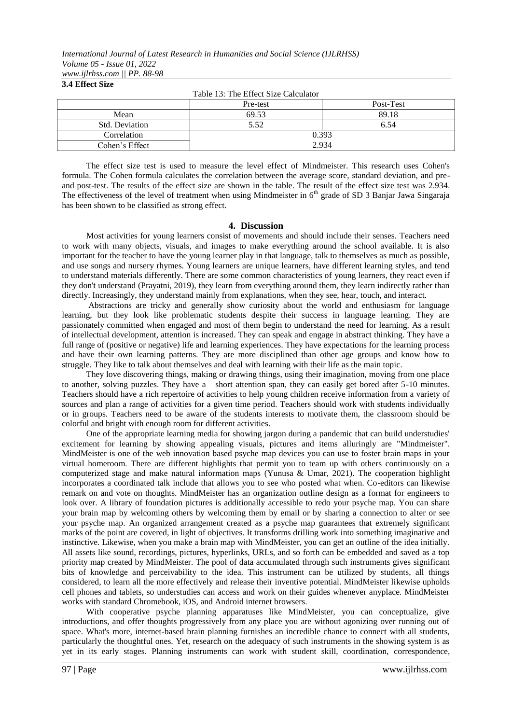### **3.4 Effect Size**

| Table 13: The Effect Size Calculator |          |           |  |
|--------------------------------------|----------|-----------|--|
|                                      | Pre-test | Post-Test |  |
| Mean                                 | 69.53    | 89.18     |  |
| Std. Deviation                       | 5.52     | 6.54      |  |
| Correlation                          | 0.393    |           |  |
| Cohen's Effect                       | 2.934    |           |  |

The effect size test is used to measure the level effect of Mindmeister. This research uses Cohen's formula. The Cohen formula calculates the correlation between the average score, standard deviation, and preand post-test. The results of the effect size are shown in the table. The result of the effect size test was 2.934. The effectiveness of the level of treatment when using Mindmeister in 6<sup>th</sup> grade of SD 3 Banjar Jawa Singaraja has been shown to be classified as strong effect.

### **4. Discussion**

Most activities for young learners consist of movements and should include their senses. Teachers need to work with many objects, visuals, and images to make everything around the school available. It is also important for the teacher to have the young learner play in that language, talk to themselves as much as possible, and use songs and nursery rhymes. Young learners are unique learners, have different learning styles, and tend to understand materials differently. There are some common characteristics of young learners, they react even if they don't understand (Prayatni, 2019), they learn from everything around them, they learn indirectly rather than directly. Increasingly, they understand mainly from explanations, when they see, hear, touch, and interact.

Abstractions are tricky and generally show curiosity about the world and enthusiasm for language learning, but they look like problematic students despite their success in language learning. They are passionately committed when engaged and most of them begin to understand the need for learning. As a result of intellectual development, attention is increased. They can speak and engage in abstract thinking. They have a full range of (positive or negative) life and learning experiences. They have expectations for the learning process and have their own learning patterns. They are more disciplined than other age groups and know how to struggle. They like to talk about themselves and deal with learning with their life as the main topic.

They love discovering things, making or drawing things, using their imagination, moving from one place to another, solving puzzles. They have a short attention span, they can easily get bored after 5-10 minutes. Teachers should have a rich repertoire of activities to help young children receive information from a variety of sources and plan a range of activities for a given time period. Teachers should work with students individually or in groups. Teachers need to be aware of the students interests to motivate them, the classroom should be colorful and bright with enough room for different activities.

One of the appropriate learning media for showing jargon during a pandemic that can build understudies' excitement for learning by showing appealing visuals, pictures and items alluringly are "Mindmeister". MindMeister is one of the web innovation based psyche map devices you can use to foster brain maps in your virtual homeroom. There are different highlights that permit you to team up with others continuously on a computerized stage and make natural information maps (Yunusa & Umar, 2021). The cooperation highlight incorporates a coordinated talk include that allows you to see who posted what when. Co-editors can likewise remark on and vote on thoughts. MindMeister has an organization outline design as a format for engineers to look over. A library of foundation pictures is additionally accessible to redo your psyche map. You can share your brain map by welcoming others by welcoming them by email or by sharing a connection to alter or see your psyche map. An organized arrangement created as a psyche map guarantees that extremely significant marks of the point are covered, in light of objectives. It transforms drilling work into something imaginative and instinctive. Likewise, when you make a brain map with MindMeister, you can get an outline of the idea initially. All assets like sound, recordings, pictures, hyperlinks, URLs, and so forth can be embedded and saved as a top priority map created by MindMeister. The pool of data accumulated through such instruments gives significant bits of knowledge and perceivability to the idea. This instrument can be utilized by students, all things considered, to learn all the more effectively and release their inventive potential. MindMeister likewise upholds cell phones and tablets, so understudies can access and work on their guides whenever anyplace. MindMeister works with standard Chromebook, iOS, and Android internet browsers.

With cooperative psyche planning apparatuses like MindMeister, you can conceptualize, give introductions, and offer thoughts progressively from any place you are without agonizing over running out of space. What's more, internet-based brain planning furnishes an incredible chance to connect with all students, particularly the thoughtful ones. Yet, research on the adequacy of such instruments in the showing system is as yet in its early stages. Planning instruments can work with student skill, coordination, correspondence,